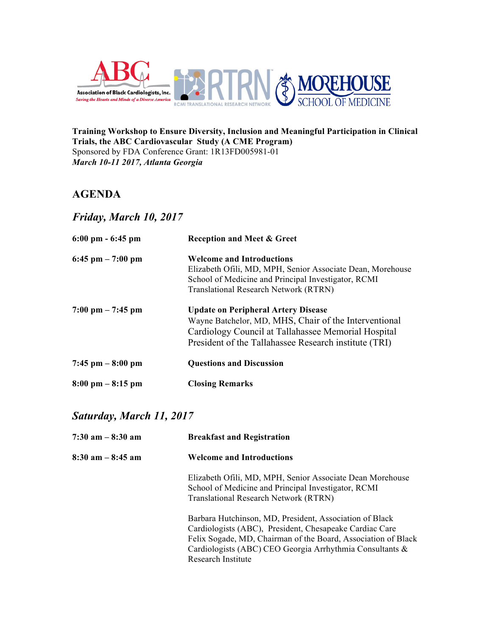



**Training Workshop to Ensure Diversity, Inclusion and Meaningful Participation in Clinical Trials, the ABC Cardiovascular Study (A CME Program)** Sponsored by FDA Conference Grant: 1R13FD005981-01 *March 10-11 2017, Atlanta Georgia*

# **AGENDA**

*Friday, March 10, 2017*

| $6:00 \text{ pm} - 6:45 \text{ pm}$ | <b>Reception and Meet &amp; Greet</b>                      |
|-------------------------------------|------------------------------------------------------------|
| $6:45$ pm $-7:00$ pm                | <b>Welcome and Introductions</b>                           |
|                                     | Elizabeth Ofili, MD, MPH, Senior Associate Dean, Morehouse |
|                                     | School of Medicine and Principal Investigator, RCMI        |
|                                     | <b>Translational Research Network (RTRN)</b>               |
| $7:00 \text{ pm} - 7:45 \text{ pm}$ | <b>Update on Peripheral Artery Disease</b>                 |
|                                     | Wayne Batchelor, MD, MHS, Chair of the Interventional      |
|                                     | Cardiology Council at Tallahassee Memorial Hospital        |
|                                     | President of the Tallahassee Research institute (TRI)      |
| $7:45$ pm $-8:00$ pm                | <b>Questions and Discussion</b>                            |
| $8:00 \text{ pm} - 8:15 \text{ pm}$ | <b>Closing Remarks</b>                                     |

# *Saturday, March 11, 2017*

| $7:30$ am $-8:30$ am | <b>Breakfast and Registration</b>                                                                                                                                                                                                                                     |
|----------------------|-----------------------------------------------------------------------------------------------------------------------------------------------------------------------------------------------------------------------------------------------------------------------|
| $8:30$ am $-8:45$ am | <b>Welcome and Introductions</b>                                                                                                                                                                                                                                      |
|                      | Elizabeth Ofili, MD, MPH, Senior Associate Dean Morehouse<br>School of Medicine and Principal Investigator, RCMI<br>Translational Research Network (RTRN)                                                                                                             |
|                      | Barbara Hutchinson, MD, President, Association of Black<br>Cardiologists (ABC), President, Chesapeake Cardiac Care<br>Felix Sogade, MD, Chairman of the Board, Association of Black<br>Cardiologists (ABC) CEO Georgia Arrhythmia Consultants &<br>Research Institute |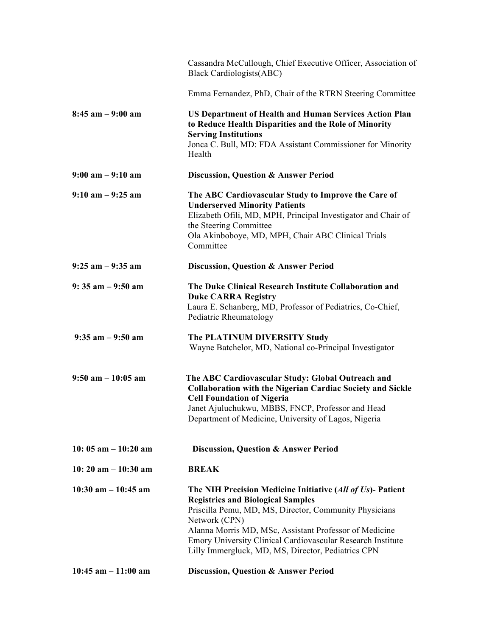|                                        | Cassandra McCullough, Chief Executive Officer, Association of<br><b>Black Cardiologists (ABC)</b>                                                                                                                                                                                                                                                                |
|----------------------------------------|------------------------------------------------------------------------------------------------------------------------------------------------------------------------------------------------------------------------------------------------------------------------------------------------------------------------------------------------------------------|
|                                        | Emma Fernandez, PhD, Chair of the RTRN Steering Committee                                                                                                                                                                                                                                                                                                        |
| $8:45$ am $-9:00$ am                   | <b>US Department of Health and Human Services Action Plan</b><br>to Reduce Health Disparities and the Role of Minority<br><b>Serving Institutions</b><br>Jonca C. Bull, MD: FDA Assistant Commissioner for Minority<br>Health                                                                                                                                    |
| $9:00$ am $-9:10$ am                   | <b>Discussion, Question &amp; Answer Period</b>                                                                                                                                                                                                                                                                                                                  |
| $9:10$ am $-9:25$ am                   | The ABC Cardiovascular Study to Improve the Care of<br><b>Underserved Minority Patients</b><br>Elizabeth Ofili, MD, MPH, Principal Investigator and Chair of<br>the Steering Committee<br>Ola Akinboboye, MD, MPH, Chair ABC Clinical Trials<br>Committee                                                                                                        |
| $9:25$ am $-9:35$ am                   | Discussion, Question & Answer Period                                                                                                                                                                                                                                                                                                                             |
| $9:35$ am $-9:50$ am                   | The Duke Clinical Research Institute Collaboration and<br><b>Duke CARRA Registry</b><br>Laura E. Schanberg, MD, Professor of Pediatrics, Co-Chief,<br>Pediatric Rheumatology                                                                                                                                                                                     |
| $9:35$ am $-9:50$ am                   | The PLATINUM DIVERSITY Study<br>Wayne Batchelor, MD, National co-Principal Investigator                                                                                                                                                                                                                                                                          |
| $9:50$ am $-10:05$ am                  | The ABC Cardiovascular Study: Global Outreach and<br><b>Collaboration with the Nigerian Cardiac Society and Sickle</b><br><b>Cell Foundation of Nigeria</b><br>Janet Ajuluchukwu, MBBS, FNCP, Professor and Head<br>Department of Medicine, University of Lagos, Nigeria                                                                                         |
| 10: $05 \text{ am} - 10:20 \text{ am}$ | <b>Discussion, Question &amp; Answer Period</b>                                                                                                                                                                                                                                                                                                                  |
| 10: 20 am $- 10:30$ am                 | <b>BREAK</b>                                                                                                                                                                                                                                                                                                                                                     |
| $10:30$ am $-10:45$ am                 | The NIH Precision Medicine Initiative (All of Us)- Patient<br><b>Registries and Biological Samples</b><br>Priscilla Pemu, MD, MS, Director, Community Physicians<br>Network (CPN)<br>Alanna Morris MD, MSc, Assistant Professor of Medicine<br>Emory University Clinical Cardiovascular Research Institute<br>Lilly Immergluck, MD, MS, Director, Pediatrics CPN |
| $10:45$ am $-11:00$ am                 | Discussion, Question & Answer Period                                                                                                                                                                                                                                                                                                                             |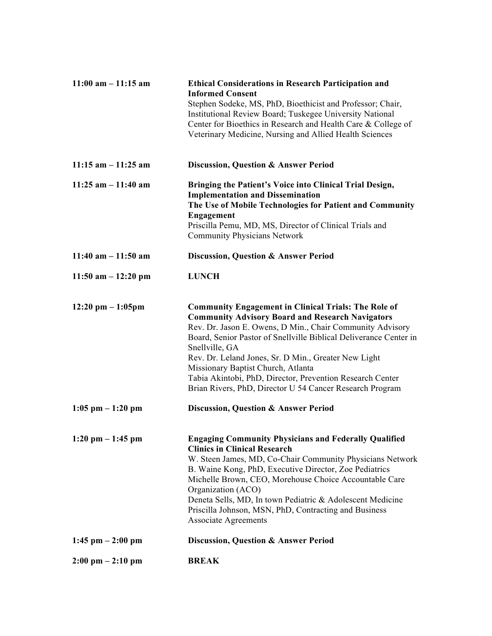| $11:00$ am $-11:15$ am              | <b>Ethical Considerations in Research Participation and</b><br><b>Informed Consent</b>                                 |
|-------------------------------------|------------------------------------------------------------------------------------------------------------------------|
|                                     | Stephen Sodeke, MS, PhD, Bioethicist and Professor; Chair,<br>Institutional Review Board; Tuskegee University National |
|                                     | Center for Bioethics in Research and Health Care & College of                                                          |
|                                     | Veterinary Medicine, Nursing and Allied Health Sciences                                                                |
| $11:15$ am $-11:25$ am              | Discussion, Question & Answer Period                                                                                   |
| $11:25$ am $-11:40$ am              | Bringing the Patient's Voice into Clinical Trial Design,<br><b>Implementation and Dissemination</b>                    |
|                                     | The Use of Mobile Technologies for Patient and Community                                                               |
|                                     | Engagement                                                                                                             |
|                                     | Priscilla Pemu, MD, MS, Director of Clinical Trials and<br><b>Community Physicians Network</b>                         |
| $11:40$ am $-11:50$ am              | Discussion, Question & Answer Period                                                                                   |
| $11:50$ am $-12:20$ pm              | <b>LUNCH</b>                                                                                                           |
| $12:20 \text{ pm} - 1:05 \text{pm}$ | <b>Community Engagement in Clinical Trials: The Role of</b>                                                            |
|                                     | <b>Community Advisory Board and Research Navigators</b><br>Rev. Dr. Jason E. Owens, D Min., Chair Community Advisory   |
|                                     | Board, Senior Pastor of Snellville Biblical Deliverance Center in                                                      |
|                                     | Snellville, GA<br>Rev. Dr. Leland Jones, Sr. D Min., Greater New Light                                                 |
|                                     | Missionary Baptist Church, Atlanta                                                                                     |
|                                     | Tabia Akintobi, PhD, Director, Prevention Research Center<br>Brian Rivers, PhD, Director U 54 Cancer Research Program  |
| $1:05$ pm $-1:20$ pm                | <b>Discussion, Question &amp; Answer Period</b>                                                                        |
| $1:20$ pm $-1:45$ pm                | <b>Engaging Community Physicians and Federally Qualified</b>                                                           |
|                                     | <b>Clinics in Clinical Research</b><br>W. Steen James, MD, Co-Chair Community Physicians Network                       |
|                                     | B. Waine Kong, PhD, Executive Director, Zoe Pediatrics                                                                 |
|                                     | Michelle Brown, CEO, Morehouse Choice Accountable Care<br>Organization (ACO)                                           |
|                                     | Deneta Sells, MD, In town Pediatric & Adolescent Medicine                                                              |
|                                     | Priscilla Johnson, MSN, PhD, Contracting and Business<br><b>Associate Agreements</b>                                   |
| $1:45$ pm $-2:00$ pm                | <b>Discussion, Question &amp; Answer Period</b>                                                                        |
| $2:00 \text{ pm} - 2:10 \text{ pm}$ | <b>BREAK</b>                                                                                                           |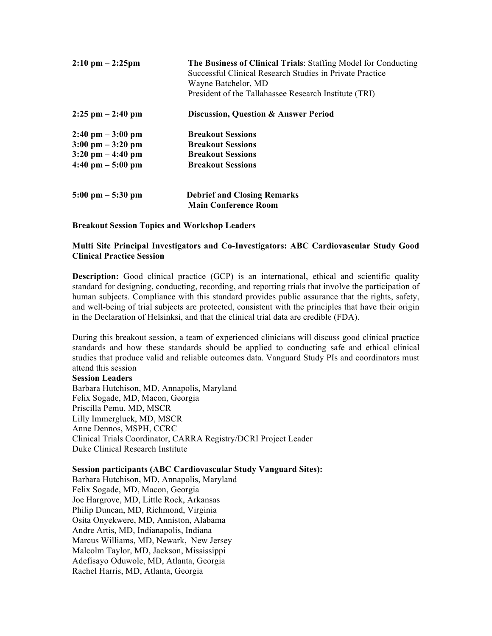| $2:10 \text{ pm} - 2:25 \text{pm}$  | The Business of Clinical Trials: Staffing Model for Conducting<br>Successful Clinical Research Studies in Private Practice<br>Wayne Batchelor, MD<br>President of the Tallahassee Research Institute (TRI) |  |
|-------------------------------------|------------------------------------------------------------------------------------------------------------------------------------------------------------------------------------------------------------|--|
| $2:25$ pm $-2:40$ pm                | Discussion, Question & Answer Period                                                                                                                                                                       |  |
| $2:40 \text{ pm} - 3:00 \text{ pm}$ | <b>Breakout Sessions</b>                                                                                                                                                                                   |  |
| $3:00 \text{ pm} - 3:20 \text{ pm}$ | <b>Breakout Sessions</b>                                                                                                                                                                                   |  |
| $3:20 \text{ pm} - 4:40 \text{ pm}$ | <b>Breakout Sessions</b>                                                                                                                                                                                   |  |
| $4:40 \text{ pm} - 5:00 \text{ pm}$ | <b>Breakout Sessions</b>                                                                                                                                                                                   |  |
| $5:00 \text{ pm} - 5:30 \text{ pm}$ | <b>Debrief and Closing Remarks</b>                                                                                                                                                                         |  |
|                                     | <b>Main Conference Room</b>                                                                                                                                                                                |  |

**Breakout Session Topics and Workshop Leaders**

# **Multi Site Principal Investigators and Co-Investigators: ABC Cardiovascular Study Good Clinical Practice Session**

**Description:** Good clinical practice (GCP) is an international, ethical and scientific quality standard for designing, conducting, recording, and reporting trials that involve the participation of human subjects. Compliance with this standard provides public assurance that the rights, safety, and well-being of trial subjects are protected, consistent with the principles that have their origin in the Declaration of Helsinksi, and that the clinical trial data are credible (FDA).

During this breakout session, a team of experienced clinicians will discuss good clinical practice standards and how these standards should be applied to conducting safe and ethical clinical studies that produce valid and reliable outcomes data. Vanguard Study PIs and coordinators must attend this session

## **Session Leaders**

Barbara Hutchison, MD, Annapolis, Maryland Felix Sogade, MD, Macon, Georgia Priscilla Pemu, MD, MSCR Lilly Immergluck, MD, MSCR Anne Dennos, MSPH, CCRC Clinical Trials Coordinator, CARRA Registry/DCRI Project Leader Duke Clinical Research Institute

# **Session participants (ABC Cardiovascular Study Vanguard Sites):**

Barbara Hutchison, MD, Annapolis, Maryland Felix Sogade, MD, Macon, Georgia Joe Hargrove, MD, Little Rock, Arkansas Philip Duncan, MD, Richmond, Virginia Osita Onyekwere, MD, Anniston, Alabama Andre Artis, MD, Indianapolis, Indiana Marcus Williams, MD, Newark, New Jersey Malcolm Taylor, MD, Jackson, Mississippi Adefisayo Oduwole, MD, Atlanta, Georgia Rachel Harris, MD, Atlanta, Georgia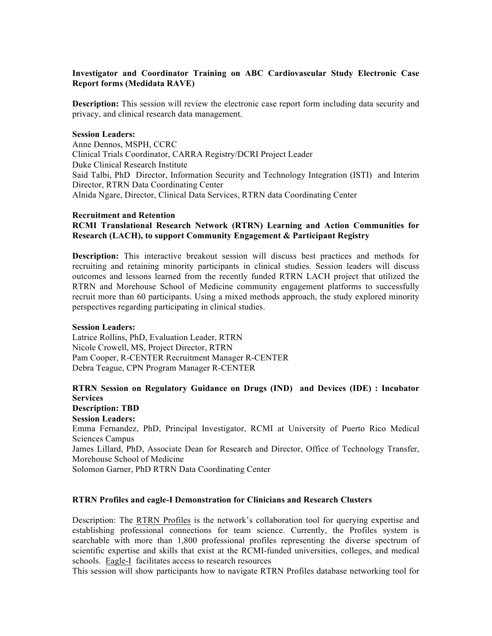# **Investigator and Coordinator Training on ABC Cardiovascular Study Electronic Case Report forms (Medidata RAVE)**

**Description:** This session will review the electronic case report form including data security and privacy, and clinical research data management.

### **Session Leaders:**

Anne Dennos, MSPH, CCRC Clinical Trials Coordinator, CARRA Registry/DCRI Project Leader Duke Clinical Research Institute Said Talbi, PhD Director, Information Security and Technology Integration (ISTI) and Interim Director, RTRN Data Coordinating Center Alnida Ngare, Director, Clinical Data Services, RTRN data Coordinating Center

#### **Recruitment and Retention**

## **RCMI Translational Research Network (RTRN) Learning and Action Communities for Research (LACH), to support Community Engagement & Participant Registry**

**Description:** This interactive breakout session will discuss best practices and methods for recruiting and retaining minority participants in clinical studies. Session leaders will discuss outcomes and lessons learned from the recently funded RTRN LACH project that utilized the RTRN and Morehouse School of Medicine community engagement platforms to successfully recruit more than 60 participants. Using a mixed methods approach, the study explored minority perspectives regarding participating in clinical studies.

## **Session Leaders:**

Latrice Rollins, PhD, Evaluation Leader, RTRN Nicole Crowell, MS, Project Director, RTRN Pam Cooper, R-CENTER Recruitment Manager R-CENTER Debra Teague, CPN Program Manager R-CENTER

## **RTRN Session on Regulatory Guidance on Drugs (IND) and Devices (IDE) : Incubator Services Description: TBD**

**Session Leaders:** Emma Fernandez, PhD, Principal Investigator, RCMI at University of Puerto Rico Medical Sciences Campus James Lillard, PhD, Associate Dean for Research and Director, Office of Technology Transfer, Morehouse School of Medicine Solomon Garner, PhD RTRN Data Coordinating Center

## **RTRN Profiles and eagle-I Demonstration for Clinicians and Research Clusters**

Description: The RTRN Profiles is the network's collaboration tool for querying expertise and establishing professional connections for team science. Currently, the Profiles system is searchable with more than 1,800 professional profiles representing the diverse spectrum of scientific expertise and skills that exist at the RCMI-funded universities, colleges, and medical schools. Eagle-I facilitates access to research resources

This session will show participants how to navigate RTRN Profiles database networking tool for